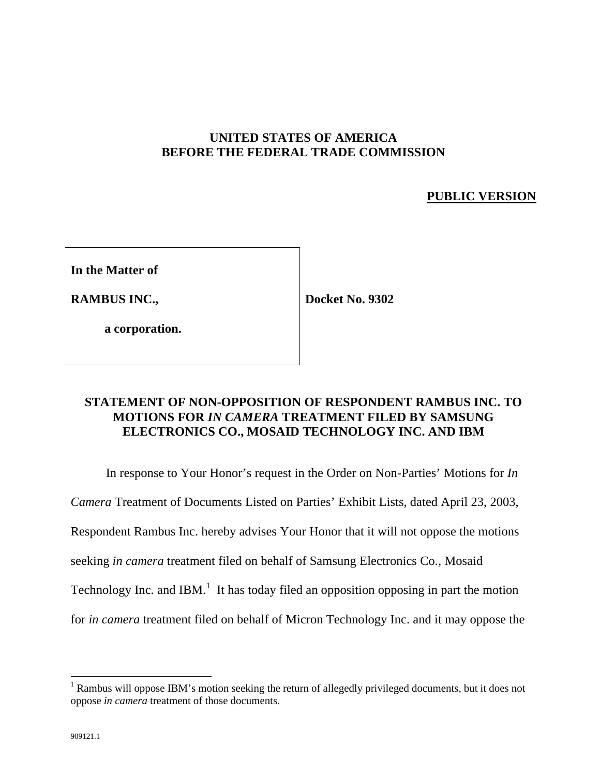# **UNITED STATES OF AMERICA BEFORE THE FEDERAL TRADE COMMISSION**

# **PUBLIC VERSION**

**In the Matter of**

**RAMBUS INC.,**

**Docket No. 9302**

**a corporation.**

## **STATEMENT OF NON-OPPOSITION OF RESPONDENT RAMBUS INC. TO MOTIONS FOR** *IN CAMERA* **TREATMENT FILED BY SAMSUNG ELECTRONICS CO., MOSAID TECHNOLOGY INC. AND IBM**

In response to Your Honor's request in the Order on Non-Parties' Motions for *In Camera* Treatment of Documents Listed on Parties' Exhibit Lists, dated April 23, 2003, Respondent Rambus Inc. hereby advises Your Honor that it will not oppose the motions seeking *in camera* treatment filed on behalf of Samsung Electronics Co., Mosaid Technology Inc. and IBM.<sup>1</sup> It has today filed an opposition opposing in part the motion for *in camera* treatment filed on behalf of Micron Technology Inc. and it may oppose the

 $\overline{a}$ 

<sup>&</sup>lt;sup>1</sup> Rambus will oppose IBM's motion seeking the return of allegedly privileged documents, but it does not oppose *in camera* treatment of those documents.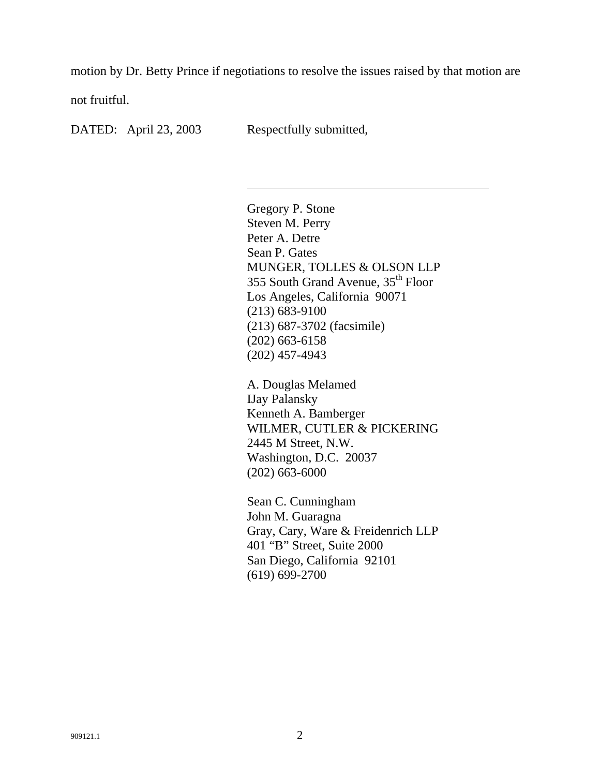motion by Dr. Betty Prince if negotiations to resolve the issues raised by that motion are

not fruitful.

DATED: April 23, 2003 Respectfully submitted,

l

Gregory P. Stone Steven M. Perry Peter A. Detre Sean P. Gates MUNGER, TOLLES & OLSON LLP 355 South Grand Avenue, 35<sup>th</sup> Floor Los Angeles, California 90071 (213) 683-9100 (213) 687-3702 (facsimile) (202) 663-6158 (202) 457-4943

A. Douglas Melamed IJay Palansky Kenneth A. Bamberger WILMER, CUTLER & PICKERING 2445 M Street, N.W. Washington, D.C. 20037 (202) 663-6000

Sean C. Cunningham John M. Guaragna Gray, Cary, Ware & Freidenrich LLP 401 "B" Street, Suite 2000 San Diego, California 92101 (619) 699-2700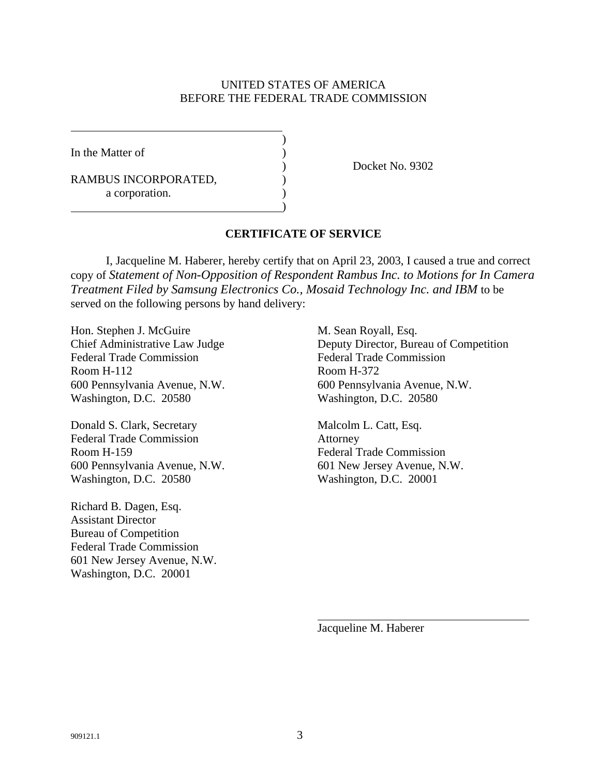#### UNITED STATES OF AMERICA BEFORE THE FEDERAL TRADE COMMISSION

)

)

In the Matter of )

RAMBUS INCORPORATED, a corporation.

) Docket No. 9302

### **CERTIFICATE OF SERVICE**

I, Jacqueline M. Haberer, hereby certify that on April 23, 2003, I caused a true and correct copy of *Statement of Non-Opposition of Respondent Rambus Inc. to Motions for In Camera Treatment Filed by Samsung Electronics Co., Mosaid Technology Inc. and IBM* to be served on the following persons by hand delivery:

Hon. Stephen J. McGuire M. Sean Royall, Esq. Federal Trade Commission Federal Trade Commission Room H-112 Room H-372 Washington, D.C. 20580 Washington, D.C. 20580

Donald S. Clark, Secretary Malcolm L. Catt, Esq. Federal Trade Commission Attorney Room H-159 Federal Trade Commission 600 Pennsylvania Avenue, N.W. 601 New Jersey Avenue, N.W. Washington, D.C. 20580 Washington, D.C. 20001

Richard B. Dagen, Esq. Assistant Director Bureau of Competition Federal Trade Commission 601 New Jersey Avenue, N.W. Washington, D.C. 20001

Chief Administrative Law Judge Deputy Director, Bureau of Competition 600 Pennsylvania Avenue, N.W. 600 Pennsylvania Avenue, N.W.

Jacqueline M. Haberer